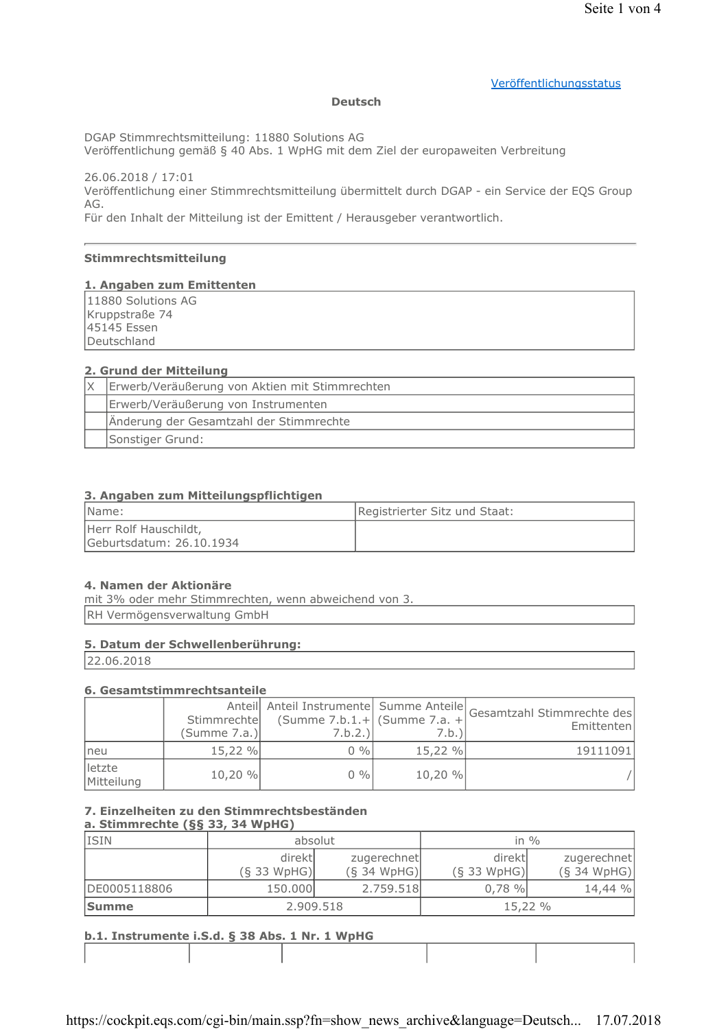## Veröffentlichungsstatus

#### **Deutsch**

DGAP Stimmrechtsmitteilung: 11880 Solutions AG

Veröffentlichung gemäß § 40 Abs. 1 WpHG mit dem Ziel der europaweiten Verbreitung

26.06.2018 / 17:01 Veröffentlichung einer Stimmrechtsmitteilung übermittelt durch DGAP - ein Service der EQS Group AG.

Für den Inhalt der Mitteilung ist der Emittent / Herausgeber verantwortlich.

## Stimmrechtsmitteilung

#### 1. Angaben zum Emittenten

11880 Solutions AG Kruppstraße 74 45145 Essen Deutschland

## 2. Grund der Mitteilung

| Erwerb/Veräußerung von Aktien mit Stimmrechten |
|------------------------------------------------|
| Erwerb/Veräußerung von Instrumenten            |
| Änderung der Gesamtzahl der Stimmrechte        |
| Sonstiger Grund:                               |

## 3. Angaben zum Mitteilungspflichtigen

| Name:                                             | Registrierter Sitz und Staat: |
|---------------------------------------------------|-------------------------------|
| Herr Rolf Hauschildt,<br>Geburtsdatum: 26.10.1934 |                               |

#### 4. Namen der Aktionäre

mit 3% oder mehr Stimmrechten, wenn abweichend von 3. RH Vermögensverwaltung GmbH

## 5. Datum der Schwellenberührung:

22.06.2018

#### 6. Gesamtstimmrechtsanteile

|                      | Stimmrechte<br>(Summe 7.a.) | $(Summe 7.b.1.+  (Summe 7.a. + $<br>$7.b.2.$ ) | 7.b.)   | Anteil Anteil Instrumente Summe Anteile Gesamtzahl Stimmrechte des<br>Emittenten |
|----------------------|-----------------------------|------------------------------------------------|---------|----------------------------------------------------------------------------------|
| neu                  | 15,22 %                     | $0\%$                                          | 15,22 % | 19111091                                                                         |
| letzte<br>Mitteilung | 10,20 %                     | $0\%$                                          | 10,20 % |                                                                                  |

# 7. Einzelheiten zu den Stimmrechtsbeständen

| a. Stimmrechte $(\S\S 33, 34 \text{ WpHG})$ |                          |                              |                          |                              |
|---------------------------------------------|--------------------------|------------------------------|--------------------------|------------------------------|
| <b>ISIN</b>                                 | absolut                  |                              |                          | in $\%$                      |
|                                             | direktl<br>$(S$ 33 WpHG) | zugerechnet<br>$(S$ 34 WpHG) | direktl<br>$(S$ 33 WpHG) | zugerechnet<br>$(S$ 34 WpHG) |
| DE0005118806                                | 150.000                  | 2.759.518                    | $0.78 \%$                | 14,44 %                      |
| <b>Summe</b>                                | 2.909.518                |                              |                          | 15,22 %                      |

## h.1. Instrumente i.S.d. 8.38 Abs. 1 Nr. 1 WnHG

| $10141$ and the manufacture mother $\frac{1}{3}$ do Abor 4 mm $\pm$ mpm of |  |  |  |  |
|----------------------------------------------------------------------------|--|--|--|--|
|                                                                            |  |  |  |  |
|                                                                            |  |  |  |  |
|                                                                            |  |  |  |  |
|                                                                            |  |  |  |  |
|                                                                            |  |  |  |  |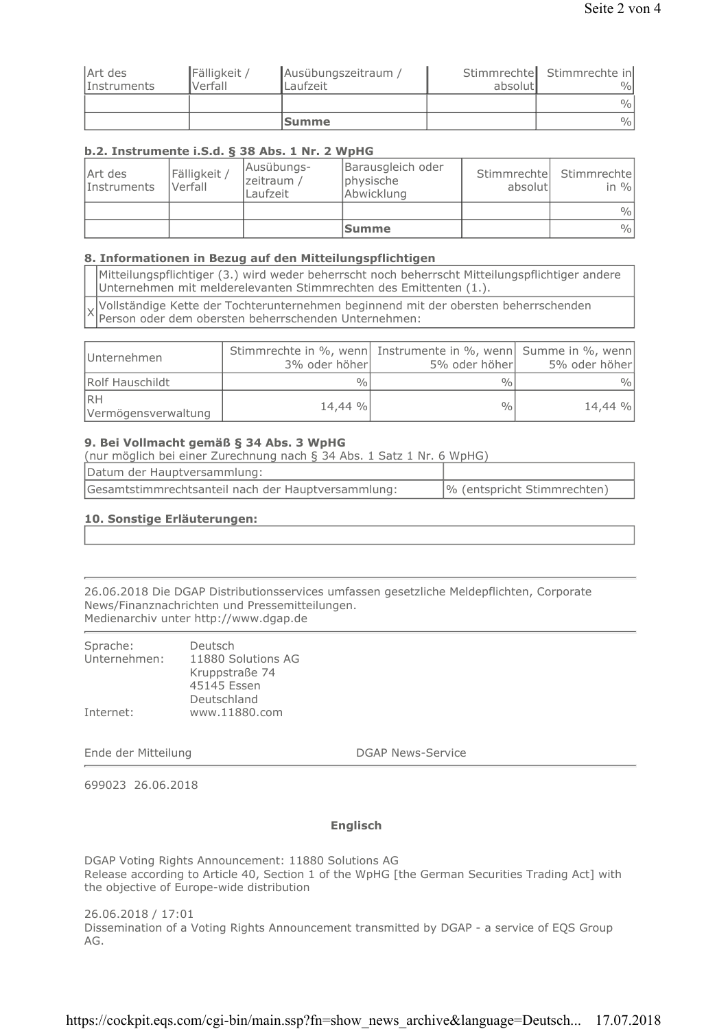|                    |              | <b>Summe</b>        |         | $\frac{0}{0}$              |
|--------------------|--------------|---------------------|---------|----------------------------|
|                    |              |                     |         | $\frac{0}{0}$              |
| <i>Instruments</i> | Verfall      | Laufzeit            | absolut | $\frac{0}{0}$              |
| Art des            | Fälligkeit / | Ausübungszeitraum / |         | Stimmrechte Stimmrechte in |

## b.2. Instrumente i.S.d. § 38 Abs. 1 Nr. 2 WpHG

| Art des<br>Instruments | Fälligkeit /<br>Verfall | Ausübungs-<br>zeitraum /<br>Laufzeit | Barausgleich oder<br>physische<br>Abwicklung | absolutl | Stimmrechte Stimmrechte<br>in $\%$ |
|------------------------|-------------------------|--------------------------------------|----------------------------------------------|----------|------------------------------------|
|                        |                         |                                      |                                              |          | $\frac{0}{0}$                      |
|                        |                         |                                      | <b>Summe</b>                                 |          | $\frac{0}{0}$                      |

## 8. Informationen in Bezug auf den Mitteilungspflichtigen

Mitteilungspflichtiger (3.) wird weder beherrscht noch beherrscht Mitteilungspflichtiger andere Unternehmen mit melderelevanten Stimmrechten des Emittenten (1.).

Vollständige Kette der Tochterunternehmen beginnend mit der obersten beherrschenden  $\times$ Person oder dem obersten beherrschenden Unternehmen:

| Unternehmen                      | Stimmrechte in %, wenn Instrumente in %, wenn Summe in %, wenn<br>3% oder höher | 5% oder höher | 5% oder höher |
|----------------------------------|---------------------------------------------------------------------------------|---------------|---------------|
| Rolf Hauschildt                  | $\frac{0}{0}$                                                                   | $\frac{0}{0}$ | $\%$          |
| <b>RH</b><br>Vermögensverwaltung | 14,44 %                                                                         | 0/0.          | 14,44 %       |

## 9. Bei Vollmacht gemäß § 34 Abs. 3 WpHG

(nur möglich bei einer Zurechnung nach § 34 Abs. 1 Satz 1 Nr. 6 WpHG)

| Datum der Hauptversammlung:                        |                             |
|----------------------------------------------------|-----------------------------|
| Gesamtstimmrechtsanteil nach der Hauptversammlung: | % (entspricht Stimmrechten) |

## 10. Sonstige Erläuterungen:

26.06.2018 Die DGAP Distributionsservices umfassen gesetzliche Meldepflichten, Corporate News/Finanznachrichten und Pressemitteilungen. Medienarchiv unter http://www.dgap.de

| Unternehmen: | 11880 Solutions AG<br>Kruppstraße 74        |
|--------------|---------------------------------------------|
| Internet:    | 45145 Essen<br>Deutschland<br>www.11880.com |

Ende der Mitteilung

**DGAP News-Service** 

699023 26.06.2018

## **Englisch**

DGAP Voting Rights Announcement: 11880 Solutions AG Release according to Article 40, Section 1 of the WpHG [the German Securities Trading Act] with the objective of Europe-wide distribution

26.06.2018 / 17:01 Dissemination of a Voting Rights Announcement transmitted by DGAP - a service of EQS Group AG.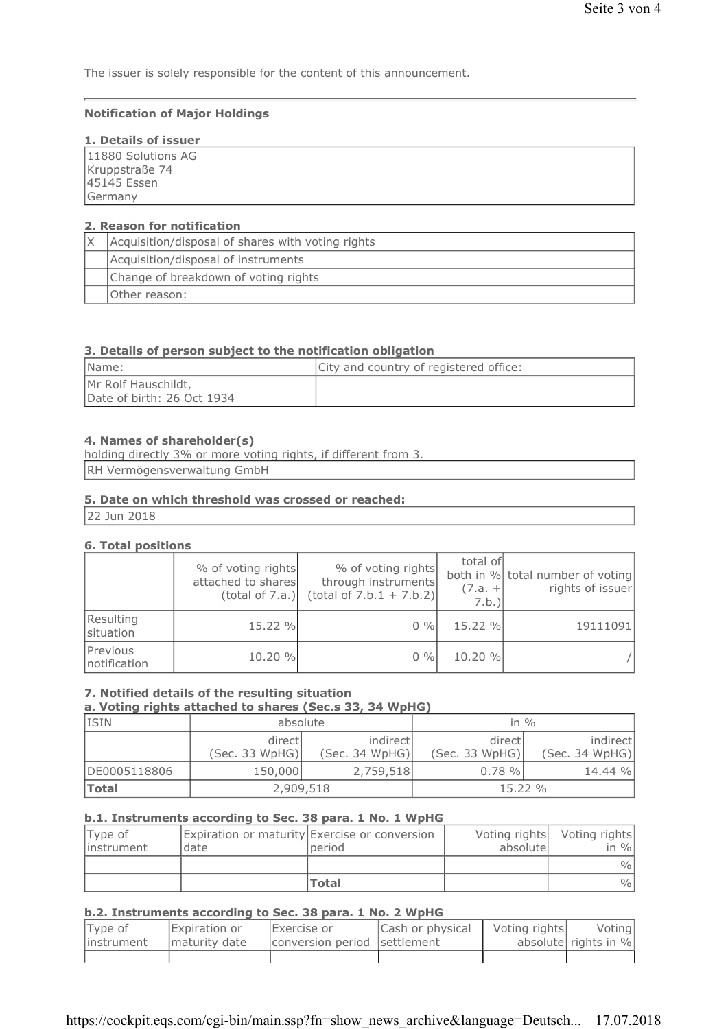The issuer is solely responsible for the content of this announcement.

#### **Notification of Major Holdings**

## 1. Details of issuer

| __________________ |  |  |  |
|--------------------|--|--|--|
| 11880 Solutions AG |  |  |  |
| Kruppstraße 74     |  |  |  |
| 45145 Essen        |  |  |  |
| Germany            |  |  |  |
|                    |  |  |  |

## 2. Reason for notification

| Acquisition/disposal of shares with voting rights |
|---------------------------------------------------|
| Acquisition/disposal of instruments               |
| Change of breakdown of voting rights              |
| Other reason:                                     |

## 3. Details of person subject to the notification obligation

| IName:                                            | City and country of registered office: |
|---------------------------------------------------|----------------------------------------|
| Mr Rolf Hauschildt,<br>Date of birth: 26 Oct 1934 |                                        |

#### 4. Names of shareholder(s)

| holding directly 3% or more voting rights, if different from 3. |  |
|-----------------------------------------------------------------|--|
| RH Vermögensverwaltung GmbH                                     |  |

#### 5. Date on which threshold was crossed or reached:

22 Jun 2018

#### **6. Total positions**

|                          | % of voting rights<br>attached to shares<br>(total of 7.a.) | % of voting rights<br>through instruments<br>$(total of 7.b.1 + 7.b.2)$ | total of<br>$(7.a. +$<br>7.b. | both in % total number of voting<br>rights of issuer |
|--------------------------|-------------------------------------------------------------|-------------------------------------------------------------------------|-------------------------------|------------------------------------------------------|
| Resulting<br>situation   | 15.22 %                                                     | $0\%$                                                                   | 15.22 %                       | 19111091                                             |
| Previous<br>notification | 10.20 %                                                     | $0\%$                                                                   | 10.20 %                       |                                                      |

## 7. Notified details of the resulting situation

a. Voting rights attached to shares (Sec.s 33, 34 WpHG)

| <b>ISIN</b>  | absolute       |                | in $\%$        |                |
|--------------|----------------|----------------|----------------|----------------|
|              | directl        | indirect       | directl        | indirect       |
|              | (Sec. 33 WpHG) | (Sec. 34 WpHG) | (Sec. 33 WpHG) | (Sec. 34 WpHG) |
| DE0005118806 | 150,000        | 2,759,518      | $0.78 \%$      | 14.44 %        |
| <b>Total</b> | 2,909,518      |                | 15.22%         |                |

#### b.1. Instruments according to Sec. 38 para. 1 No. 1 WpHG

| Type of<br>instrument | Idate | Expiration or maturity Exercise or conversion<br>period | absolutel | Voting rights Voting rights<br>in $\%$ |
|-----------------------|-------|---------------------------------------------------------|-----------|----------------------------------------|
|                       |       |                                                         |           | $\frac{0}{0}$                          |
|                       |       | <b>Total</b>                                            |           | $\frac{0}{0}$                          |

#### b.2. Instruments according to Sec. 38 para. 1 No. 2 WpHG

| Type of<br>linstrument | Expiration or<br>maturity date | Exercise or<br>conversion period settlement | Cash or physical | Voting rights | Voting<br>absolute rights in % |
|------------------------|--------------------------------|---------------------------------------------|------------------|---------------|--------------------------------|
|                        |                                |                                             |                  |               |                                |